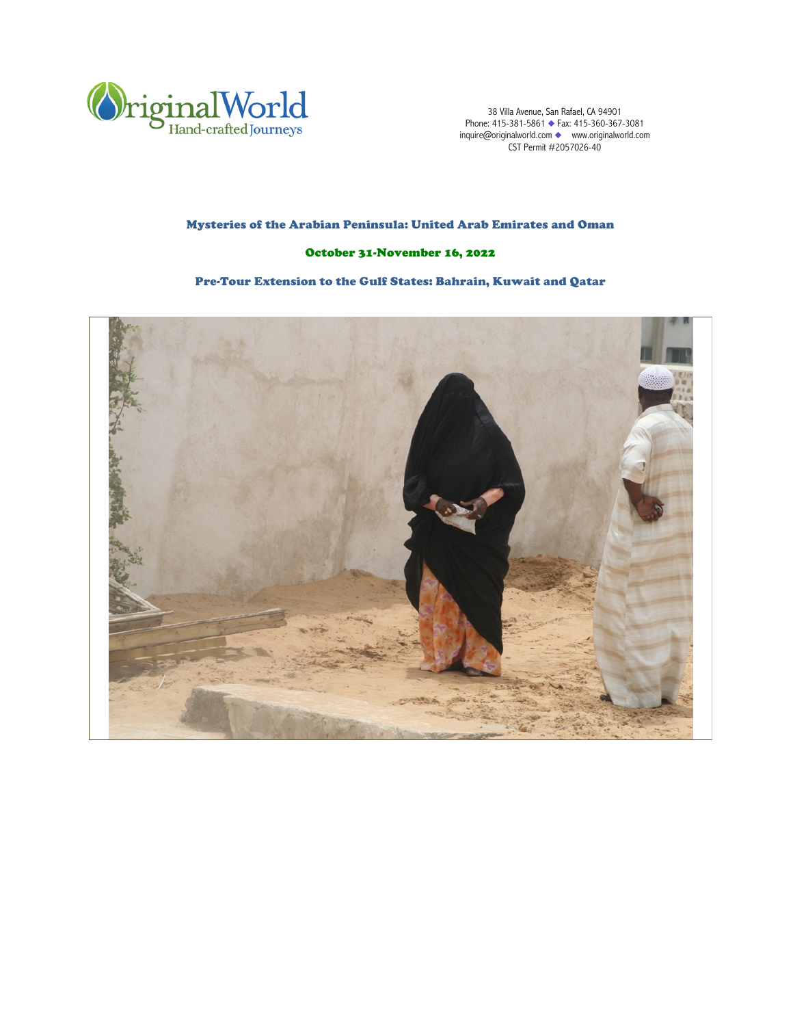

38 Villa Avenue, San Rafael, CA 94901 Phone: 415-381-5861 ◆ Fax: 415-360-367-3081 inquire@originalworld.com ◆ www.originalworld.com CST Permit #2057026-40

# Mysteries of the Arabian Peninsula: United Arab Emirates and Oman

# October 31-November 16, 2022

# Pre-Tour Extension to the Gulf States: Bahrain, Kuwait and Qatar

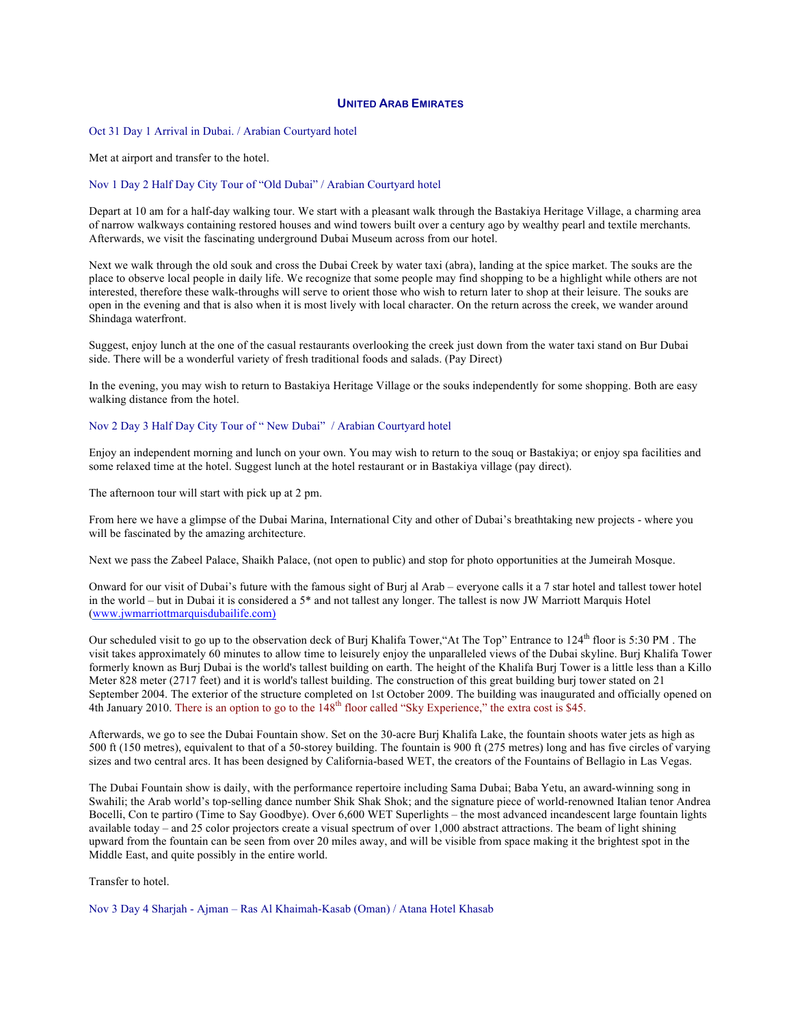#### **UNITED ARAB EMIRATES**

Oct 31 Day 1 Arrival in Dubai. / Arabian Courtyard hotel

Met at airport and transfer to the hotel.

#### Nov 1 Day 2 Half Day City Tour of "Old Dubai" / Arabian Courtyard hotel

Depart at 10 am for a half-day walking tour. We start with a pleasant walk through the Bastakiya Heritage Village, a charming area of narrow walkways containing restored houses and wind towers built over a century ago by wealthy pearl and textile merchants. Afterwards, we visit the fascinating underground Dubai Museum across from our hotel.

Next we walk through the old souk and cross the Dubai Creek by water taxi (abra), landing at the spice market. The souks are the place to observe local people in daily life. We recognize that some people may find shopping to be a highlight while others are not interested, therefore these walk-throughs will serve to orient those who wish to return later to shop at their leisure. The souks are open in the evening and that is also when it is most lively with local character. On the return across the creek, we wander around Shindaga waterfront.

Suggest, enjoy lunch at the one of the casual restaurants overlooking the creek just down from the water taxi stand on Bur Dubai side. There will be a wonderful variety of fresh traditional foods and salads. (Pay Direct)

In the evening, you may wish to return to Bastakiya Heritage Village or the souks independently for some shopping. Both are easy walking distance from the hotel.

Nov 2 Day 3 Half Day City Tour of " New Dubai" / Arabian Courtyard hotel

Enjoy an independent morning and lunch on your own. You may wish to return to the souq or Bastakiya; or enjoy spa facilities and some relaxed time at the hotel. Suggest lunch at the hotel restaurant or in Bastakiya village (pay direct).

The afternoon tour will start with pick up at 2 pm.

From here we have a glimpse of the Dubai Marina, International City and other of Dubai's breathtaking new projects - where you will be fascinated by the amazing architecture.

Next we pass the Zabeel Palace, Shaikh Palace, (not open to public) and stop for photo opportunities at the Jumeirah Mosque.

Onward for our visit of Dubai's future with the famous sight of Burj al Arab – everyone calls it a 7 star hotel and tallest tower hotel in the world – but in Dubai it is considered a 5\* and not tallest any longer. The tallest is now JW Marriott Marquis Hotel (www.jwmarriottmarquisdubailife.com)

Our scheduled visit to go up to the observation deck of Burj Khalifa Tower, "At The Top" Entrance to  $124<sup>th</sup>$  floor is 5:30 PM. visit takes approximately 60 minutes to allow time to leisurely enjoy the unparalleled views of the Dubai skyline. Burj Khalifa Tower formerly known as Burj Dubai is the world's tallest building on earth. The height of the Khalifa Burj Tower is a little less than a Killo Meter 828 meter (2717 feet) and it is world's tallest building. The construction of this great building burj tower stated on 21 September 2004. The exterior of the structure completed on 1st October 2009. The building was inaugurated and officially opened on 4th January 2010. There is an option to go to the  $148<sup>th</sup>$  floor called "Sky Experience," the extra cost is \$45.

Afterwards, we go to see the Dubai Fountain show. Set on the 30-acre Burj Khalifa Lake, the fountain shoots water jets as high as 500 ft (150 metres), equivalent to that of a 50-storey building. The fountain is 900 ft (275 metres) long and has five circles of varying sizes and two central arcs. It has been designed by California-based WET, the creators of the Fountains of Bellagio in Las Vegas.

The Dubai Fountain show is daily, with the performance repertoire including Sama Dubai; Baba Yetu, an award-winning song in Swahili; the Arab world's top-selling dance number Shik Shak Shok; and the signature piece of world-renowned Italian tenor Andrea Bocelli, Con te partiro (Time to Say Goodbye). Over 6,600 WET Superlights – the most advanced incandescent large fountain lights available today – and 25 color projectors create a visual spectrum of over 1,000 abstract attractions. The beam of light shining upward from the fountain can be seen from over 20 miles away, and will be visible from space making it the brightest spot in the Middle East, and quite possibly in the entire world.

Transfer to hotel.

Nov 3 Day 4 Sharjah - Ajman – Ras Al Khaimah-Kasab (Oman) / Atana Hotel Khasab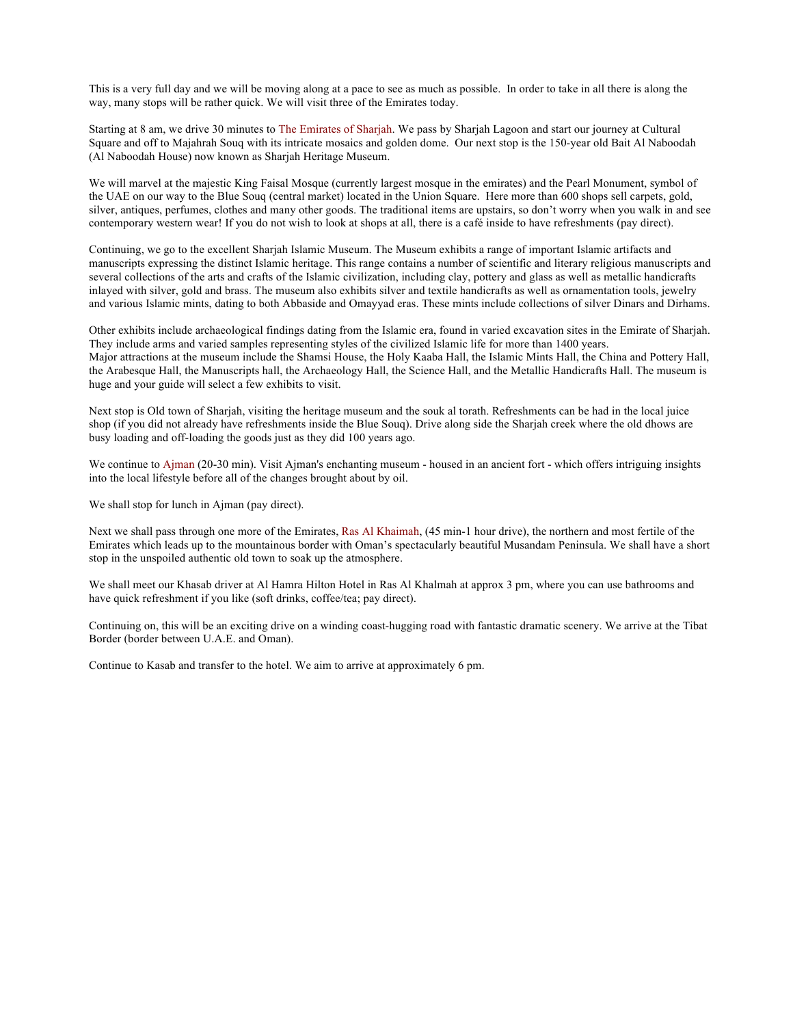This is a very full day and we will be moving along at a pace to see as much as possible. In order to take in all there is along the way, many stops will be rather quick. We will visit three of the Emirates today.

Starting at 8 am, we drive 30 minutes to The Emirates of Sharjah. We pass by Sharjah Lagoon and start our journey at Cultural Square and off to Majahrah Souq with its intricate mosaics and golden dome. Our next stop is the 150-year old Bait Al Naboodah (Al Naboodah House) now known as Sharjah Heritage Museum.

We will marvel at the majestic King Faisal Mosque (currently largest mosque in the emirates) and the Pearl Monument, symbol of the UAE on our way to the Blue Souq (central market) located in the Union Square. Here more than 600 shops sell carpets, gold, silver, antiques, perfumes, clothes and many other goods. The traditional items are upstairs, so don't worry when you walk in and see contemporary western wear! If you do not wish to look at shops at all, there is a café inside to have refreshments (pay direct).

Continuing, we go to the excellent Sharjah Islamic Museum. The Museum exhibits a range of important Islamic artifacts and manuscripts expressing the distinct Islamic heritage. This range contains a number of scientific and literary religious manuscripts and several collections of the arts and crafts of the Islamic civilization, including clay, pottery and glass as well as metallic handicrafts inlayed with silver, gold and brass. The museum also exhibits silver and textile handicrafts as well as ornamentation tools, jewelry and various Islamic mints, dating to both Abbaside and Omayyad eras. These mints include collections of silver Dinars and Dirhams.

Other exhibits include archaeological findings dating from the Islamic era, found in varied excavation sites in the Emirate of Sharjah. They include arms and varied samples representing styles of the civilized Islamic life for more than 1400 years. Major attractions at the museum include the Shamsi House, the Holy Kaaba Hall, the Islamic Mints Hall, the China and Pottery Hall, the Arabesque Hall, the Manuscripts hall, the Archaeology Hall, the Science Hall, and the Metallic Handicrafts Hall. The museum is huge and your guide will select a few exhibits to visit.

Next stop is Old town of Sharjah, visiting the heritage museum and the souk al torath. Refreshments can be had in the local juice shop (if you did not already have refreshments inside the Blue Souq). Drive along side the Sharjah creek where the old dhows are busy loading and off-loading the goods just as they did 100 years ago.

We continue to Ajman (20-30 min). Visit Ajman's enchanting museum - housed in an ancient fort - which offers intriguing insights into the local lifestyle before all of the changes brought about by oil.

We shall stop for lunch in Ajman (pay direct).

Next we shall pass through one more of the Emirates, Ras Al Khaimah, (45 min-1 hour drive), the northern and most fertile of the Emirates which leads up to the mountainous border with Oman's spectacularly beautiful Musandam Peninsula. We shall have a short stop in the unspoiled authentic old town to soak up the atmosphere.

We shall meet our Khasab driver at Al Hamra Hilton Hotel in Ras Al Khalmah at approx 3 pm, where you can use bathrooms and have quick refreshment if you like (soft drinks, coffee/tea; pay direct).

Continuing on, this will be an exciting drive on a winding coast-hugging road with fantastic dramatic scenery. We arrive at the Tibat Border (border between U.A.E. and Oman).

Continue to Kasab and transfer to the hotel. We aim to arrive at approximately 6 pm.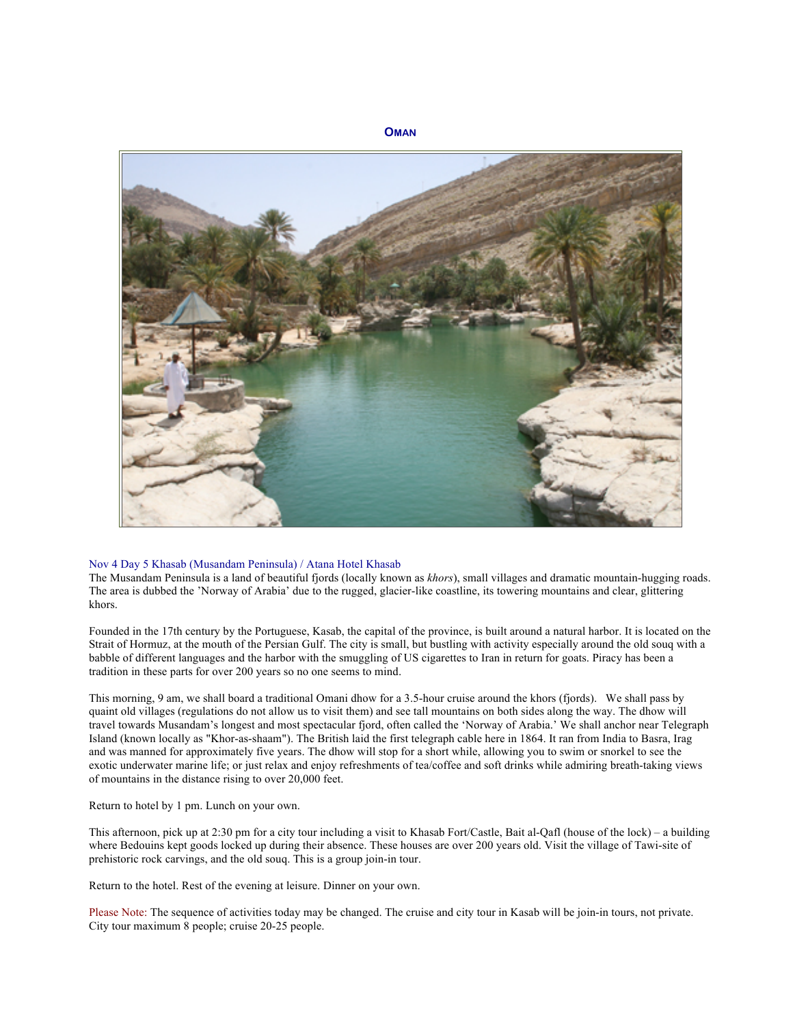

#### Nov 4 Day 5 Khasab (Musandam Peninsula) / Atana Hotel Khasab

The Musandam Peninsula is a land of beautiful fjords (locally known as *khors*), small villages and dramatic mountain-hugging roads. The area is dubbed the 'Norway of Arabia' due to the rugged, glacier-like coastline, its towering mountains and clear, glittering khors.

Founded in the 17th century by the Portuguese, Kasab, the capital of the province, is built around a natural harbor. It is located on the Strait of Hormuz, at the mouth of the Persian Gulf. The city is small, but bustling with activity especially around the old souq with a babble of different languages and the harbor with the smuggling of US cigarettes to Iran in return for goats. Piracy has been a tradition in these parts for over 200 years so no one seems to mind.

This morning, 9 am, we shall board a traditional Omani dhow for a 3.5-hour cruise around the khors (fjords). We shall pass by quaint old villages (regulations do not allow us to visit them) and see tall mountains on both sides along the way. The dhow will travel towards Musandam's longest and most spectacular fjord, often called the 'Norway of Arabia.' We shall anchor near Telegraph Island (known locally as "Khor-as-shaam"). The British laid the first telegraph cable here in 1864. It ran from India to Basra, Irag and was manned for approximately five years. The dhow will stop for a short while, allowing you to swim or snorkel to see the exotic underwater marine life; or just relax and enjoy refreshments of tea/coffee and soft drinks while admiring breath-taking views of mountains in the distance rising to over 20,000 feet.

Return to hotel by 1 pm. Lunch on your own.

This afternoon, pick up at 2:30 pm for a city tour including a visit to Khasab Fort/Castle, Bait al-Qafl (house of the lock) – a building where Bedouins kept goods locked up during their absence. These houses are over 200 years old. Visit the village of Tawi-site of prehistoric rock carvings, and the old souq. This is a group join-in tour.

Return to the hotel. Rest of the evening at leisure. Dinner on your own.

Please Note: The sequence of activities today may be changed. The cruise and city tour in Kasab will be join-in tours, not private. City tour maximum 8 people; cruise 20-25 people.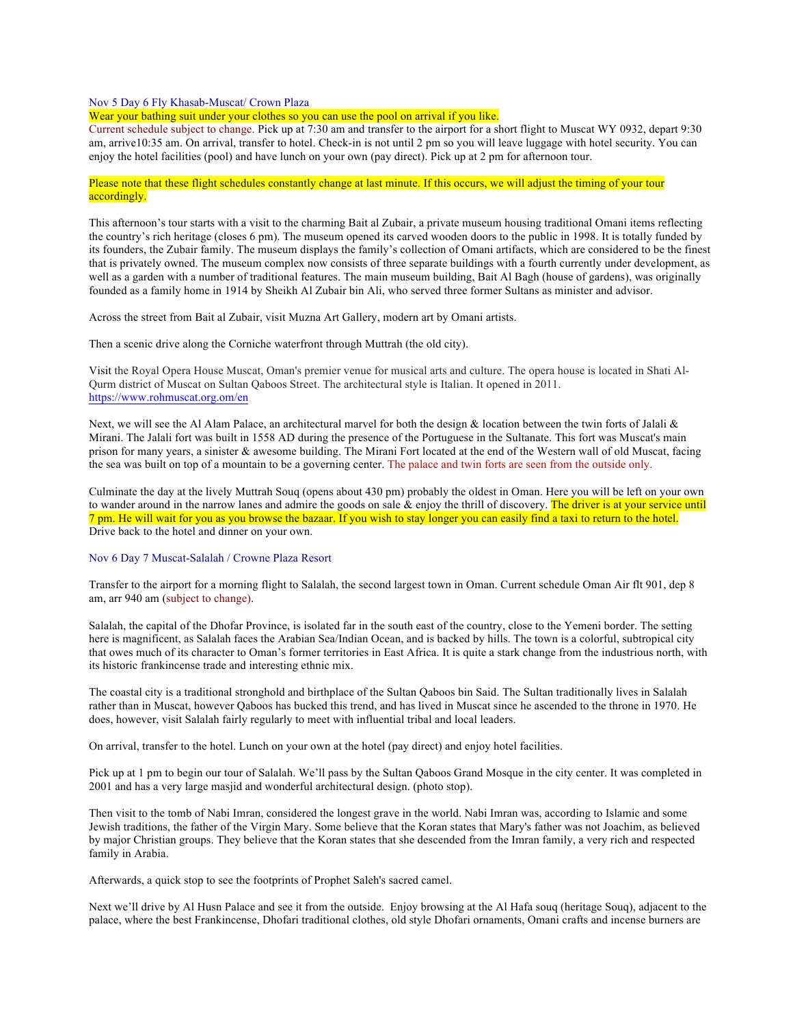#### Nov 5 Day 6 Fly Khasab-Muscat/ Crown Plaza

Wear your bathing suit under your clothes so you can use the pool on arrival if you like.

Current schedule subject to change. Pick up at 7:30 am and transfer to the airport for a short flight to Muscat WY 0932, depart 9:30 am, arrive10:35 am. On arrival, transfer to hotel. Check-in is not until 2 pm so you will leave luggage with hotel security. You can enjoy the hotel facilities (pool) and have lunch on your own (pay direct). Pick up at 2 pm for afternoon tour.

## Please note that these flight schedules constantly change at last minute. If this occurs, we will adjust the timing of your tour accordingly.

This afternoon's tour starts with a visit to the charming Bait al Zubair, a private museum housing traditional Omani items reflecting the country's rich heritage (closes 6 pm). The museum opened its carved wooden doors to the public in 1998. It is totally funded by its founders, the Zubair family. The museum displays the family's collection of Omani artifacts, which are considered to be the finest that is privately owned. The museum complex now consists of three separate buildings with a fourth currently under development, as well as a garden with a number of traditional features. The main museum building, Bait Al Bagh (house of gardens), was originally founded as a family home in 1914 by Sheikh Al Zubair bin Ali, who served three former Sultans as minister and advisor.

Across the street from Bait al Zubair, visit Muzna Art Gallery, modern art by Omani artists.

Then a scenic drive along the Corniche waterfront through Muttrah (the old city).

Visit the Royal Opera House Muscat, Oman's premier venue for musical arts and culture. The opera house is located in Shati Al-Qurm district of Muscat on Sultan Qaboos Street. The architectural style is Italian. It opened in 2011. https://www.rohmuscat.org.om/en

Next, we will see the Al Alam Palace, an architectural marvel for both the design  $\&$  location between the twin forts of Jalali  $\&$ Mirani. The Jalali fort was built in 1558 AD during the presence of the Portuguese in the Sultanate. This fort was Muscat's main prison for many years, a sinister & awesome building. The Mirani Fort located at the end of the Western wall of old Muscat, facing the sea was built on top of a mountain to be a governing center. The palace and twin forts are seen from the outside only.

Culminate the day at the lively Muttrah Souq (opens about 430 pm) probably the oldest in Oman. Here you will be left on your own to wander around in the narrow lanes and admire the goods on sale & enjoy the thrill of discovery. The driver is at your service until 7 pm. He will wait for you as you browse the bazaar. If you wish to stay longer you can easily find a taxi to return to the hotel. Drive back to the hotel and dinner on your own.

# Nov 6 Day 7 Muscat-Salalah / Crowne Plaza Resort

Transfer to the airport for a morning flight to Salalah, the second largest town in Oman. Current schedule Oman Air flt 901, dep 8 am, arr 940 am (subject to change).

Salalah, the capital of the Dhofar Province, is isolated far in the south east of the country, close to the Yemeni border. The setting here is magnificent, as Salalah faces the Arabian Sea/Indian Ocean, and is backed by hills. The town is a colorful, subtropical city that owes much of its character to Oman's former territories in East Africa. It is quite a stark change from the industrious north, with its historic frankincense trade and interesting ethnic mix.

The coastal city is a traditional stronghold and birthplace of the Sultan Qaboos bin Said. The Sultan traditionally lives in Salalah rather than in Muscat, however Qaboos has bucked this trend, and has lived in Muscat since he ascended to the throne in 1970. He does, however, visit Salalah fairly regularly to meet with influential tribal and local leaders.

On arrival, transfer to the hotel. Lunch on your own at the hotel (pay direct) and enjoy hotel facilities.

Pick up at 1 pm to begin our tour of Salalah. We'll pass by the Sultan Qaboos Grand Mosque in the city center. It was completed in 2001 and has a very large masjid and wonderful architectural design. (photo stop).

Then visit to the tomb of Nabi Imran, considered the longest grave in the world. Nabi Imran was, according to Islamic and some Jewish traditions, the father of the Virgin Mary. Some believe that the Koran states that Mary's father was not Joachim, as believed by major Christian groups. They believe that the Koran states that she descended from the Imran family, a very rich and respected family in Arabia.

Afterwards, a quick stop to see the footprints of Prophet Saleh's sacred camel.

Next we'll drive by Al Husn Palace and see it from the outside. Enjoy browsing at the Al Hafa souq (heritage Souq), adjacent to the palace, where the best Frankincense, Dhofari traditional clothes, old style Dhofari ornaments, Omani crafts and incense burners are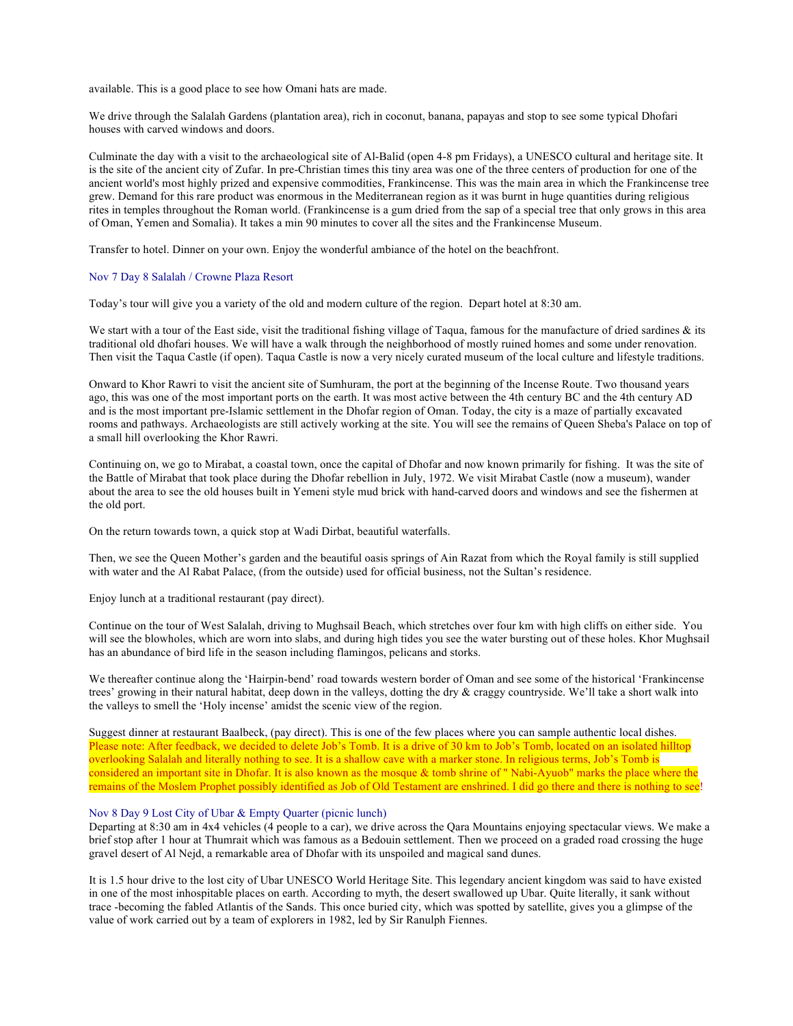available. This is a good place to see how Omani hats are made.

We drive through the Salalah Gardens (plantation area), rich in coconut, banana, papayas and stop to see some typical Dhofari houses with carved windows and doors.

Culminate the day with a visit to the archaeological site of Al-Balid (open 4-8 pm Fridays), a UNESCO cultural and heritage site. It is the site of the ancient city of Zufar. In pre-Christian times this tiny area was one of the three centers of production for one of the ancient world's most highly prized and expensive commodities, Frankincense. This was the main area in which the Frankincense tree grew. Demand for this rare product was enormous in the Mediterranean region as it was burnt in huge quantities during religious rites in temples throughout the Roman world. (Frankincense is a gum dried from the sap of a special tree that only grows in this area of Oman, Yemen and Somalia). It takes a min 90 minutes to cover all the sites and the Frankincense Museum.

Transfer to hotel. Dinner on your own. Enjoy the wonderful ambiance of the hotel on the beachfront.

#### Nov 7 Day 8 Salalah / Crowne Plaza Resort

Today's tour will give you a variety of the old and modern culture of the region. Depart hotel at 8:30 am.

We start with a tour of the East side, visit the traditional fishing village of Taqua, famous for the manufacture of dried sardines & its traditional old dhofari houses. We will have a walk through the neighborhood of mostly ruined homes and some under renovation. Then visit the Taqua Castle (if open). Taqua Castle is now a very nicely curated museum of the local culture and lifestyle traditions.

Onward to Khor Rawri to visit the ancient site of Sumhuram, the port at the beginning of the Incense Route. Two thousand years ago, this was one of the most important ports on the earth. It was most active between the 4th century BC and the 4th century AD and is the most important pre-Islamic settlement in the Dhofar region of Oman. Today, the city is a maze of partially excavated rooms and pathways. Archaeologists are still actively working at the site. You will see the remains of Queen Sheba's Palace on top of a small hill overlooking the Khor Rawri.

Continuing on, we go to Mirabat, a coastal town, once the capital of Dhofar and now known primarily for fishing. It was the site of the Battle of Mirabat that took place during the Dhofar rebellion in July, 1972. We visit Mirabat Castle (now a museum), wander about the area to see the old houses built in Yemeni style mud brick with hand-carved doors and windows and see the fishermen at the old port.

On the return towards town, a quick stop at Wadi Dirbat, beautiful waterfalls.

Then, we see the Queen Mother's garden and the beautiful oasis springs of Ain Razat from which the Royal family is still supplied with water and the Al Rabat Palace, (from the outside) used for official business, not the Sultan's residence.

Enjoy lunch at a traditional restaurant (pay direct).

Continue on the tour of West Salalah, driving to Mughsail Beach, which stretches over four km with high cliffs on either side. You will see the blowholes, which are worn into slabs, and during high tides you see the water bursting out of these holes. Khor Mughsail has an abundance of bird life in the season including flamingos, pelicans and storks.

We thereafter continue along the 'Hairpin-bend' road towards western border of Oman and see some of the historical 'Frankincense trees' growing in their natural habitat, deep down in the valleys, dotting the dry & craggy countryside. We'll take a short walk into the valleys to smell the 'Holy incense' amidst the scenic view of the region.

Suggest dinner at restaurant Baalbeck, (pay direct). This is one of the few places where you can sample authentic local dishes. Please note: After feedback, we decided to delete Job's Tomb. It is a drive of 30 km to Job's Tomb, located on an isolated hilltop overlooking Salalah and literally nothing to see. It is a shallow cave with a marker stone. In religious terms, Job's Tomb is considered an important site in Dhofar. It is also known as the mosque & tomb shrine of " Nabi-Ayuob" marks the place where the remains of the Moslem Prophet possibly identified as Job of Old Testament are enshrined. I did go there and there is nothing to see!

### Nov 8 Day 9 Lost City of Ubar & Empty Quarter (picnic lunch)

Departing at 8:30 am in 4x4 vehicles (4 people to a car), we drive across the Qara Mountains enjoying spectacular views. We make a brief stop after 1 hour at Thumrait which was famous as a Bedouin settlement. Then we proceed on a graded road crossing the huge gravel desert of Al Nejd, a remarkable area of Dhofar with its unspoiled and magical sand dunes.

It is 1.5 hour drive to the lost city of Ubar UNESCO World Heritage Site. This legendary ancient kingdom was said to have existed in one of the most inhospitable places on earth. According to myth, the desert swallowed up Ubar. Quite literally, it sank without trace -becoming the fabled Atlantis of the Sands. This once buried city, which was spotted by satellite, gives you a glimpse of the value of work carried out by a team of explorers in 1982, led by Sir Ranulph Fiennes.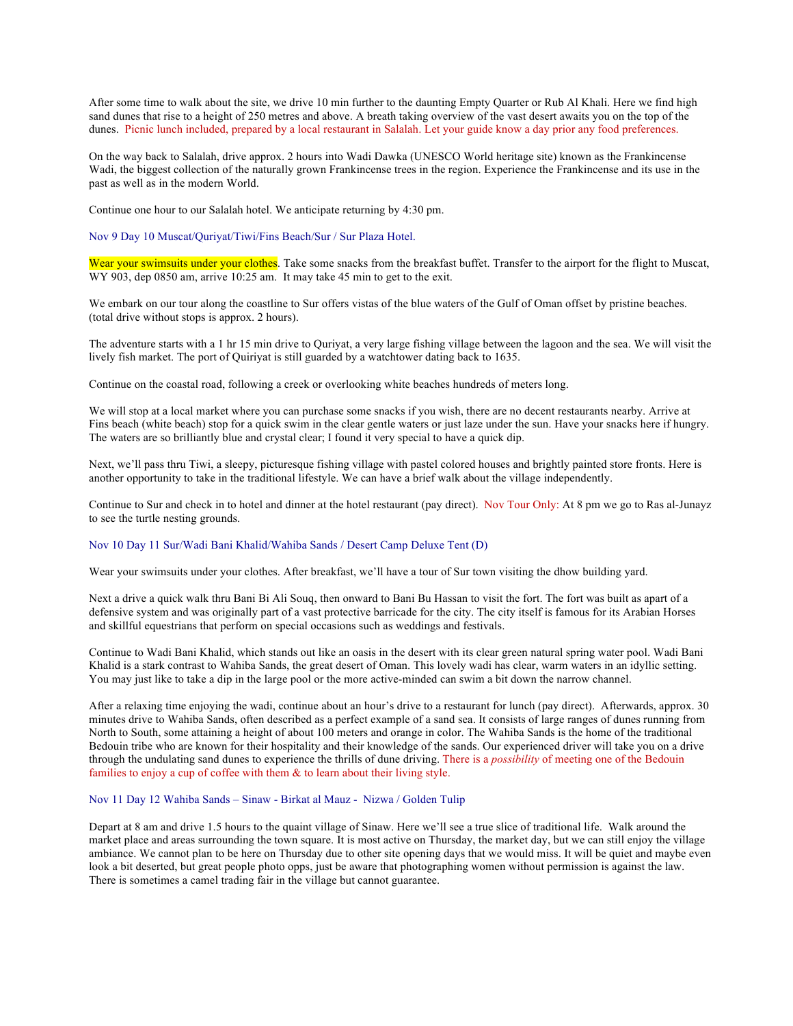After some time to walk about the site, we drive 10 min further to the daunting Empty Quarter or Rub Al Khali. Here we find high sand dunes that rise to a height of 250 metres and above. A breath taking overview of the vast desert awaits you on the top of the dunes. Picnic lunch included, prepared by a local restaurant in Salalah. Let your guide know a day prior any food preferences.

On the way back to Salalah, drive approx. 2 hours into Wadi Dawka (UNESCO World heritage site) known as the Frankincense Wadi, the biggest collection of the naturally grown Frankincense trees in the region. Experience the Frankincense and its use in the past as well as in the modern World.

Continue one hour to our Salalah hotel. We anticipate returning by 4:30 pm.

Nov 9 Day 10 Muscat/Quriyat/Tiwi/Fins Beach/Sur / Sur Plaza Hotel.

Wear your swimsuits under your clothes. Take some snacks from the breakfast buffet. Transfer to the airport for the flight to Muscat, WY 903, dep 0850 am, arrive 10:25 am. It may take 45 min to get to the exit.

We embark on our tour along the coastline to Sur offers vistas of the blue waters of the Gulf of Oman offset by pristine beaches. (total drive without stops is approx. 2 hours).

The adventure starts with a 1 hr 15 min drive to Quriyat, a very large fishing village between the lagoon and the sea. We will visit the lively fish market. The port of Quiriyat is still guarded by a watchtower dating back to 1635.

Continue on the coastal road, following a creek or overlooking white beaches hundreds of meters long.

We will stop at a local market where you can purchase some snacks if you wish, there are no decent restaurants nearby. Arrive at Fins beach (white beach) stop for a quick swim in the clear gentle waters or just laze under the sun. Have your snacks here if hungry. The waters are so brilliantly blue and crystal clear; I found it very special to have a quick dip.

Next, we'll pass thru Tiwi, a sleepy, picturesque fishing village with pastel colored houses and brightly painted store fronts. Here is another opportunity to take in the traditional lifestyle. We can have a brief walk about the village independently.

Continue to Sur and check in to hotel and dinner at the hotel restaurant (pay direct). Nov Tour Only: At 8 pm we go to Ras al-Junayz to see the turtle nesting grounds.

## Nov 10 Day 11 Sur/Wadi Bani Khalid/Wahiba Sands / Desert Camp Deluxe Tent (D)

Wear your swimsuits under your clothes. After breakfast, we'll have a tour of Sur town visiting the dhow building yard.

Next a drive a quick walk thru Bani Bi Ali Souq, then onward to Bani Bu Hassan to visit the fort. The fort was built as apart of a defensive system and was originally part of a vast protective barricade for the city. The city itself is famous for its Arabian Horses and skillful equestrians that perform on special occasions such as weddings and festivals.

Continue to Wadi Bani Khalid, which stands out like an oasis in the desert with its clear green natural spring water pool. Wadi Bani Khalid is a stark contrast to Wahiba Sands, the great desert of Oman. This lovely wadi has clear, warm waters in an idyllic setting. You may just like to take a dip in the large pool or the more active-minded can swim a bit down the narrow channel.

After a relaxing time enjoying the wadi, continue about an hour's drive to a restaurant for lunch (pay direct). Afterwards, approx. 30 minutes drive to Wahiba Sands, often described as a perfect example of a sand sea. It consists of large ranges of dunes running from North to South, some attaining a height of about 100 meters and orange in color. The Wahiba Sands is the home of the traditional Bedouin tribe who are known for their hospitality and their knowledge of the sands. Our experienced driver will take you on a drive through the undulating sand dunes to experience the thrills of dune driving. There is a *possibility* of meeting one of the Bedouin families to enjoy a cup of coffee with them  $\&$  to learn about their living style.

## Nov 11 Day 12 Wahiba Sands – Sinaw - Birkat al Mauz - Nizwa / Golden Tulip

Depart at 8 am and drive 1.5 hours to the quaint village of Sinaw. Here we'll see a true slice of traditional life. Walk around the market place and areas surrounding the town square. It is most active on Thursday, the market day, but we can still enjoy the village ambiance. We cannot plan to be here on Thursday due to other site opening days that we would miss. It will be quiet and maybe even look a bit deserted, but great people photo opps, just be aware that photographing women without permission is against the law. There is sometimes a camel trading fair in the village but cannot guarantee.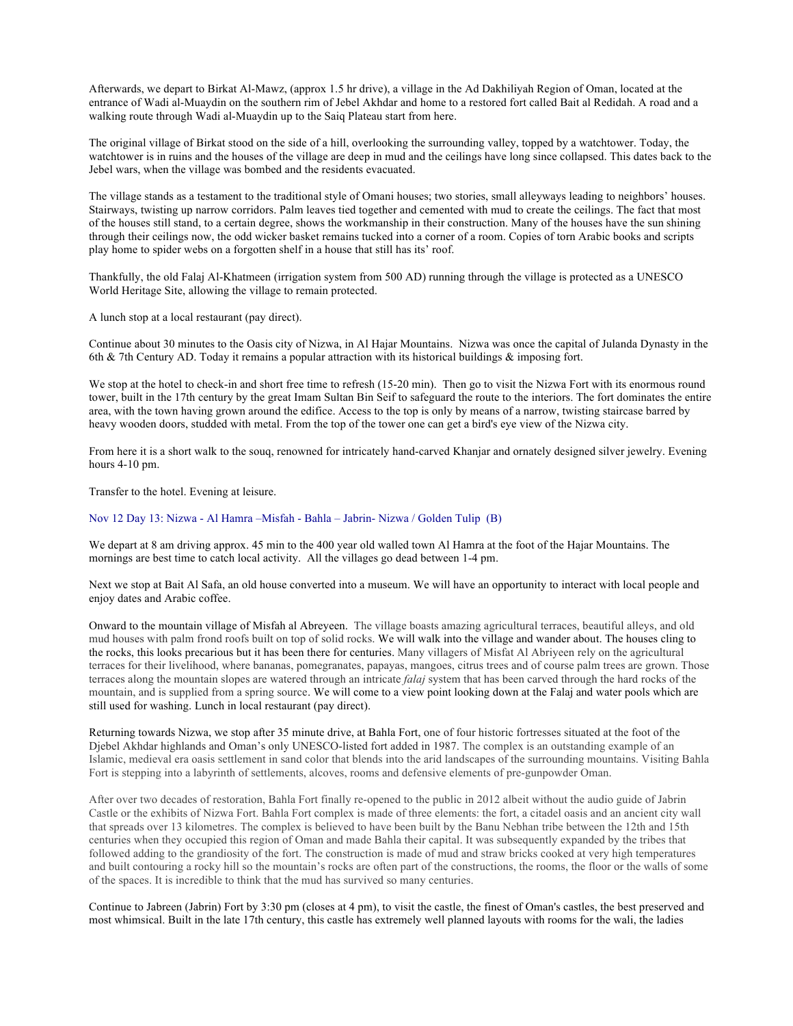Afterwards, we depart to Birkat Al-Mawz, (approx 1.5 hr drive), a village in the Ad Dakhiliyah Region of Oman, located at the entrance of Wadi al-Muaydin on the southern rim of Jebel Akhdar and home to a restored fort called Bait al Redidah. A road and a walking route through Wadi al-Muaydin up to the Saiq Plateau start from here.

The original village of Birkat stood on the side of a hill, overlooking the surrounding valley, topped by a watchtower. Today, the watchtower is in ruins and the houses of the village are deep in mud and the ceilings have long since collapsed. This dates back to the Jebel wars, when the village was bombed and the residents evacuated.

The village stands as a testament to the traditional style of Omani houses; two stories, small alleyways leading to neighbors' houses. Stairways, twisting up narrow corridors. Palm leaves tied together and cemented with mud to create the ceilings. The fact that most of the houses still stand, to a certain degree, shows the workmanship in their construction. Many of the houses have the sun shining through their ceilings now, the odd wicker basket remains tucked into a corner of a room. Copies of torn Arabic books and scripts play home to spider webs on a forgotten shelf in a house that still has its' roof.

Thankfully, the old Falaj Al-Khatmeen (irrigation system from 500 AD) running through the village is protected as a UNESCO World Heritage Site, allowing the village to remain protected.

A lunch stop at a local restaurant (pay direct).

Continue about 30 minutes to the Oasis city of Nizwa, in Al Hajar Mountains. Nizwa was once the capital of Julanda Dynasty in the 6th & 7th Century AD. Today it remains a popular attraction with its historical buildings & imposing fort.

We stop at the hotel to check-in and short free time to refresh (15-20 min). Then go to visit the Nizwa Fort with its enormous round tower, built in the 17th century by the great Imam Sultan Bin Seif to safeguard the route to the interiors. The fort dominates the entire area, with the town having grown around the edifice. Access to the top is only by means of a narrow, twisting staircase barred by heavy wooden doors, studded with metal. From the top of the tower one can get a bird's eye view of the Nizwa city.

From here it is a short walk to the souq, renowned for intricately hand-carved Khanjar and ornately designed silver jewelry. Evening hours 4-10 pm.

Transfer to the hotel. Evening at leisure.

## Nov 12 Day 13: Nizwa - Al Hamra –Misfah - Bahla – Jabrin- Nizwa / Golden Tulip (B)

We depart at 8 am driving approx. 45 min to the 400 year old walled town Al Hamra at the foot of the Hajar Mountains. The mornings are best time to catch local activity. All the villages go dead between 1-4 pm.

Next we stop at Bait Al Safa, an old house converted into a museum. We will have an opportunity to interact with local people and enjoy dates and Arabic coffee.

Onward to the mountain village of Misfah al Abreyeen. The village boasts amazing agricultural terraces, beautiful alleys, and old mud houses with palm frond roofs built on top of solid rocks. We will walk into the village and wander about. The houses cling to the rocks, this looks precarious but it has been there for centuries. Many villagers of Misfat Al Abriyeen rely on the agricultural terraces for their livelihood, where bananas, pomegranates, papayas, mangoes, citrus trees and of course palm trees are grown. Those terraces along the mountain slopes are watered through an intricate *falaj* system that has been carved through the hard rocks of the mountain, and is supplied from a spring source. We will come to a view point looking down at the Falaj and water pools which are still used for washing. Lunch in local restaurant (pay direct).

Returning towards Nizwa, we stop after 35 minute drive, at Bahla Fort, one of four historic fortresses situated at the foot of the Djebel Akhdar highlands and Oman's only UNESCO-listed fort added in 1987. The complex is an outstanding example of an Islamic, medieval era oasis settlement in sand color that blends into the arid landscapes of the surrounding mountains. Visiting Bahla Fort is stepping into a labyrinth of settlements, alcoves, rooms and defensive elements of pre-gunpowder Oman.

After over two decades of restoration, Bahla Fort finally re-opened to the public in 2012 albeit without the audio guide of Jabrin Castle or the exhibits of Nizwa Fort. Bahla Fort complex is made of three elements: the fort, a citadel oasis and an ancient city wall that spreads over 13 kilometres. The complex is believed to have been built by the Banu Nebhan tribe between the 12th and 15th centuries when they occupied this region of Oman and made Bahla their capital. It was subsequently expanded by the tribes that followed adding to the grandiosity of the fort. The construction is made of mud and straw bricks cooked at very high temperatures and built contouring a rocky hill so the mountain's rocks are often part of the constructions, the rooms, the floor or the walls of some of the spaces. It is incredible to think that the mud has survived so many centuries.

Continue to Jabreen (Jabrin) Fort by 3:30 pm (closes at 4 pm), to visit the castle, the finest of Oman's castles, the best preserved and most whimsical. Built in the late 17th century, this castle has extremely well planned layouts with rooms for the wali, the ladies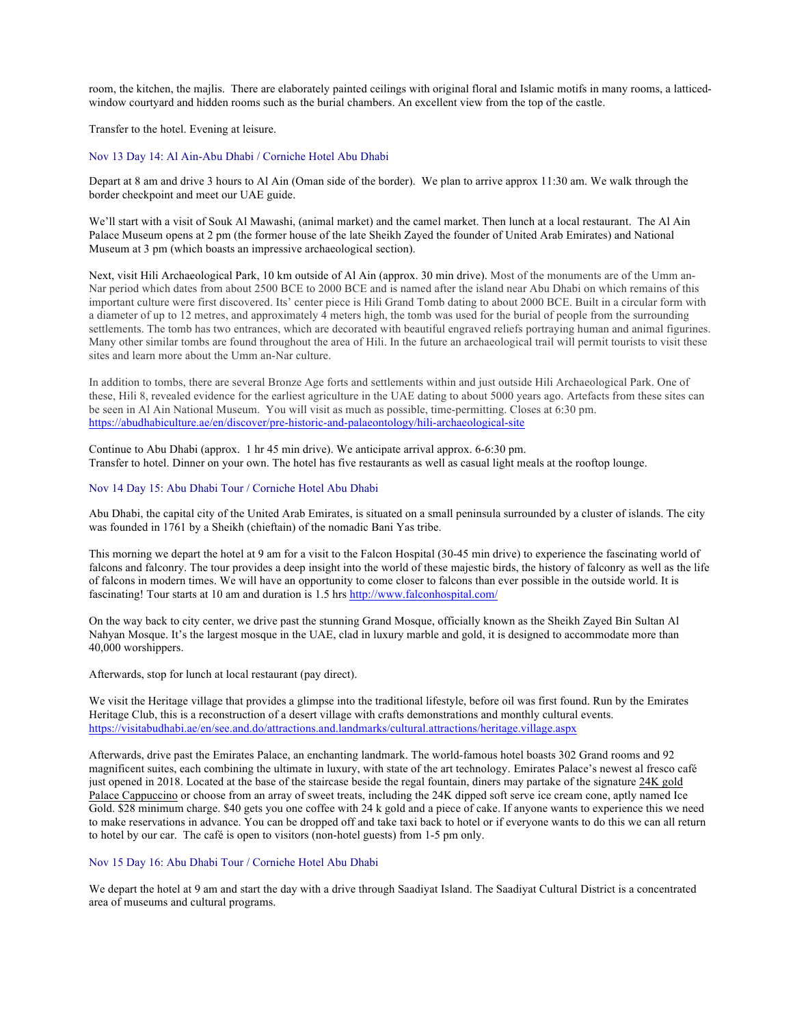room, the kitchen, the majlis. There are elaborately painted ceilings with original floral and Islamic motifs in many rooms, a latticedwindow courtyard and hidden rooms such as the burial chambers. An excellent view from the top of the castle.

Transfer to the hotel. Evening at leisure.

# Nov 13 Day 14: Al Ain-Abu Dhabi / Corniche Hotel Abu Dhabi

Depart at 8 am and drive 3 hours to Al Ain (Oman side of the border). We plan to arrive approx 11:30 am. We walk through the border checkpoint and meet our UAE guide.

We'll start with a visit of Souk Al Mawashi, (animal market) and the camel market. Then lunch at a local restaurant. The Al Ain Palace Museum opens at 2 pm (the former house of the late Sheikh Zayed the founder of United Arab Emirates) and National Museum at 3 pm (which boasts an impressive archaeological section).

Next, visit Hili Archaeological Park, 10 km outside of Al Ain (approx. 30 min drive). Most of the monuments are of the Umm an-Nar period which dates from about 2500 BCE to 2000 BCE and is named after the island near Abu Dhabi on which remains of this important culture were first discovered. Its' center piece is Hili Grand Tomb dating to about 2000 BCE. Built in a circular form with a diameter of up to 12 metres, and approximately 4 meters high, the tomb was used for the burial of people from the surrounding settlements. The tomb has two entrances, which are decorated with beautiful engraved reliefs portraying human and animal figurines. Many other similar tombs are found throughout the area of Hili. In the future an archaeological trail will permit tourists to visit these sites and learn more about the Umm an-Nar culture.

In addition to tombs, there are several Bronze Age forts and settlements within and just outside Hili Archaeological Park. One of these, Hili 8, revealed evidence for the earliest agriculture in the UAE dating to about 5000 years ago. Artefacts from these sites can be seen in Al Ain National Museum. You will visit as much as possible, time-permitting. Closes at 6:30 pm. https://abudhabiculture.ae/en/discover/pre-historic-and-palaeontology/hili-archaeological-site

Continue to Abu Dhabi (approx. 1 hr 45 min drive). We anticipate arrival approx. 6-6:30 pm. Transfer to hotel. Dinner on your own. The hotel has five restaurants as well as casual light meals at the rooftop lounge.

#### Nov 14 Day 15: Abu Dhabi Tour / Corniche Hotel Abu Dhabi

Abu Dhabi, the capital city of the United Arab Emirates, is situated on a small peninsula surrounded by a cluster of islands. The city was founded in 1761 by a Sheikh (chieftain) of the nomadic Bani Yas tribe.

This morning we depart the hotel at 9 am for a visit to the Falcon Hospital (30-45 min drive) to experience the fascinating world of falcons and falconry. The tour provides a deep insight into the world of these majestic birds, the history of falconry as well as the life of falcons in modern times. We will have an opportunity to come closer to falcons than ever possible in the outside world. It is fascinating! Tour starts at 10 am and duration is 1.5 hrs http://www.falconhospital.com/

On the way back to city center, we drive past the stunning Grand Mosque, officially known as the Sheikh Zayed Bin Sultan Al Nahyan Mosque. It's the largest mosque in the UAE, clad in luxury marble and gold, it is designed to accommodate more than 40,000 worshippers.

Afterwards, stop for lunch at local restaurant (pay direct).

We visit the Heritage village that provides a glimpse into the traditional lifestyle, before oil was first found. Run by the Emirates Heritage Club, this is a reconstruction of a desert village with crafts demonstrations and monthly cultural events. https://visitabudhabi.ae/en/see.and.do/attractions.and.landmarks/cultural.attractions/heritage.village.aspx

Afterwards, drive past the Emirates Palace, an enchanting landmark. The world-famous hotel boasts 302 Grand rooms and 92 magnificent suites, each combining the ultimate in luxury, with state of the art technology. Emirates Palace's newest al fresco café just opened in 2018. Located at the base of the staircase beside the regal fountain, diners may partake of the signature 24K gold Palace Cappuccino or choose from an array of sweet treats, including the 24K dipped soft serve ice cream cone, aptly named Ice Gold. \$28 minimum charge. \$40 gets you one coffee with 24 k gold and a piece of cake. If anyone wants to experience this we need to make reservations in advance. You can be dropped off and take taxi back to hotel or if everyone wants to do this we can all return to hotel by our car. The café is open to visitors (non-hotel guests) from 1-5 pm only.

# Nov 15 Day 16: Abu Dhabi Tour / Corniche Hotel Abu Dhabi

We depart the hotel at 9 am and start the day with a drive through Saadiyat Island. The Saadiyat Cultural District is a concentrated area of museums and cultural programs.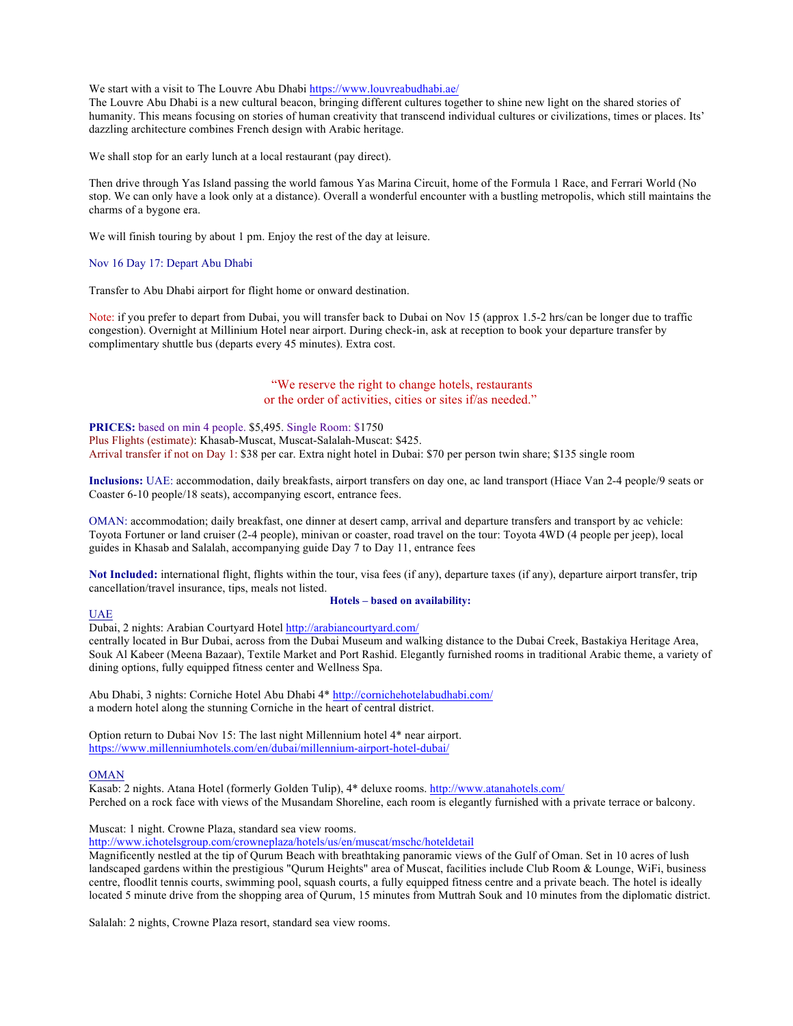We start with a visit to The Louvre Abu Dhabi https://www.louvreabudhabi.ae/

The Louvre Abu Dhabi is a new cultural beacon, bringing different cultures together to shine new light on the shared stories of humanity. This means focusing on stories of human creativity that transcend individual cultures or civilizations, times or places. Its' dazzling architecture combines French design with Arabic heritage.

We shall stop for an early lunch at a local restaurant (pay direct).

Then drive through Yas Island passing the world famous Yas Marina Circuit, home of the Formula 1 Race, and Ferrari World (No stop. We can only have a look only at a distance). Overall a wonderful encounter with a bustling metropolis, which still maintains the charms of a bygone era.

We will finish touring by about 1 pm. Enjoy the rest of the day at leisure.

#### Nov 16 Day 17: Depart Abu Dhabi

Transfer to Abu Dhabi airport for flight home or onward destination.

Note: if you prefer to depart from Dubai, you will transfer back to Dubai on Nov 15 (approx 1.5-2 hrs/can be longer due to traffic congestion). Overnight at Millinium Hotel near airport. During check-in, ask at reception to book your departure transfer by complimentary shuttle bus (departs every 45 minutes). Extra cost.

# "We reserve the right to change hotels, restaurants or the order of activities, cities or sites if/as needed."

# **PRICES:** based on min 4 people. \$5,495. Single Room: \$1750

Plus Flights (estimate): Khasab-Muscat, Muscat-Salalah-Muscat: \$425. Arrival transfer if not on Day 1: \$38 per car. Extra night hotel in Dubai: \$70 per person twin share; \$135 single room

**Inclusions:** UAE: accommodation, daily breakfasts, airport transfers on day one, ac land transport (Hiace Van 2-4 people/9 seats or Coaster 6-10 people/18 seats), accompanying escort, entrance fees.

OMAN: accommodation; daily breakfast, one dinner at desert camp, arrival and departure transfers and transport by ac vehicle: Toyota Fortuner or land cruiser (2-4 people), minivan or coaster, road travel on the tour: Toyota 4WD (4 people per jeep), local guides in Khasab and Salalah, accompanying guide Day 7 to Day 11, entrance fees

**Not Included:** international flight, flights within the tour, visa fees (if any), departure taxes (if any), departure airport transfer, trip cancellation/travel insurance, tips, meals not listed. **Hotels – based on availability:**

#### UAE

Dubai, 2 nights: Arabian Courtyard Hotel http://arabiancourtyard.com/

centrally located in Bur Dubai, across from the Dubai Museum and walking distance to the Dubai Creek, Bastakiya Heritage Area, Souk Al Kabeer (Meena Bazaar), Textile Market and Port Rashid. Elegantly furnished rooms in traditional Arabic theme, a variety of dining options, fully equipped fitness center and Wellness Spa.

Abu Dhabi, 3 nights: Corniche Hotel Abu Dhabi 4\* http://cornichehotelabudhabi.com/ a modern hotel along the stunning Corniche in the heart of central district.

Option return to Dubai Nov 15: The last night Millennium hotel 4\* near airport. https://www.millenniumhotels.com/en/dubai/millennium-airport-hotel-dubai/

#### OMAN

Kasab: 2 nights. Atana Hotel (formerly Golden Tulip), 4\* deluxe rooms. http://www.atanahotels.com/ Perched on a rock face with views of the Musandam Shoreline, each room is elegantly furnished with a private terrace or balcony.

Muscat: 1 night. Crowne Plaza, standard sea view rooms.

http://www.ichotelsgroup.com/crowneplaza/hotels/us/en/muscat/mschc/hoteldetail

Magnificently nestled at the tip of Qurum Beach with breathtaking panoramic views of the Gulf of Oman. Set in 10 acres of lush landscaped gardens within the prestigious "Qurum Heights" area of Muscat, facilities include Club Room & Lounge, WiFi, business centre, floodlit tennis courts, swimming pool, squash courts, a fully equipped fitness centre and a private beach. The hotel is ideally located 5 minute drive from the shopping area of Qurum, 15 minutes from Muttrah Souk and 10 minutes from the diplomatic district.

Salalah: 2 nights, Crowne Plaza resort, standard sea view rooms.